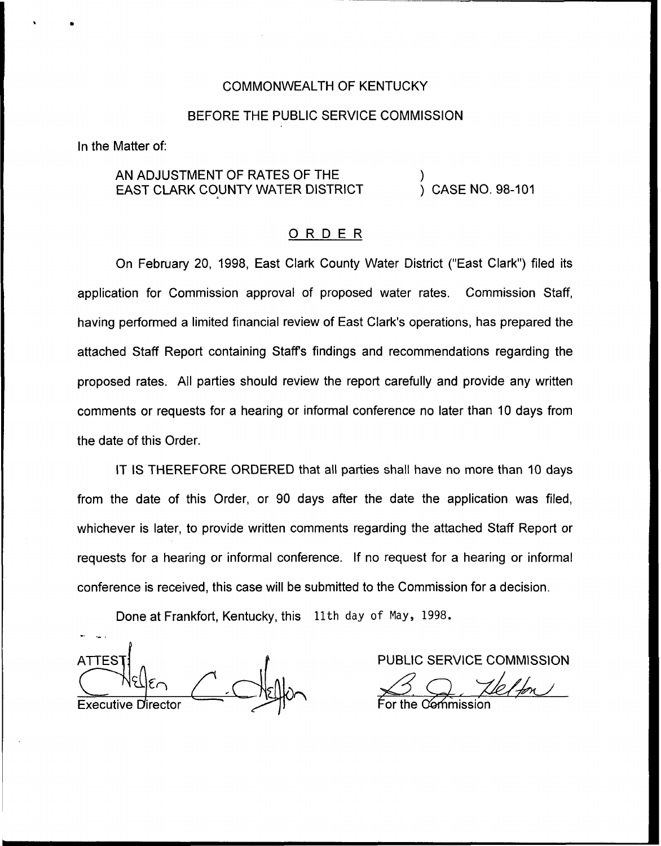## COMMONWEALTH OF KENTUCKY

## BEFORE THE PUBLIC SERVICE COMMISSION

In the Matter of:

# AN ADJUSTMENT OF RATES OF THE EAST CLARK COUNTY WATER DISTRICT

) CASE NO. 98-101

)

## ORDER

On February 20, 1998, East Clark County Water District ("East Clark") filed its application for Commission approval of proposed water rates. Commission Staff, having performed a limited financial review of East Clark's operations, has prepared the attached Staff Report containing Staffs findings and recommendations regarding the proposed rates. All parties should review the report carefully and provide any written comments or requests for a hearing or informal conference no later than 10 days from the date of this Order.

IT IS THEREFORE ORDERED that all parties shall have no more than 10 days from the date of this Order, or 90 days after the date the application was filed, whichever is later, to provide written comments regarding the attached Staff Report or requests for a hearing or informal conference. If no request for a hearing or informal conference is received, this case will be submitted to the Commission for a decision.

Done at Frankfort, Kentucky, this 11th day of May, 1998.

ATTES Executive D

PUBLIC SERVICE COMMISSION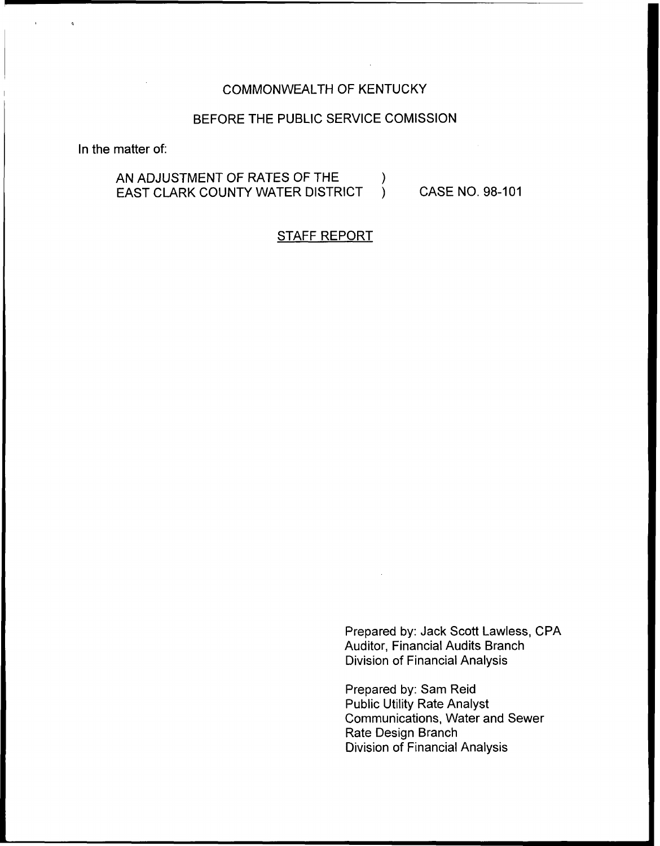# COMMONWEALTH OF KENTUCKY

# BEFORE THE PUBLIC SERVICE COMISSION

In the matter of:

# AN ADJUSTMENT OF RATES OF THE  $\left\{\begin{array}{cc} \nearrow \\ \downarrow \end{array}$ EAST CLARK COUNTY WATER DISTRICT ) CASE NO. 98-101

# STAFF REPORT

Prepared by: Jack Scott Lawless, CPA Auditor, Financial Audits Branch Division of Financial Analysis

Prepared by: Sam Reid Public Utility Rate Analyst Communications, Water and Sewer Rate Design Branch Division of Financial Analysis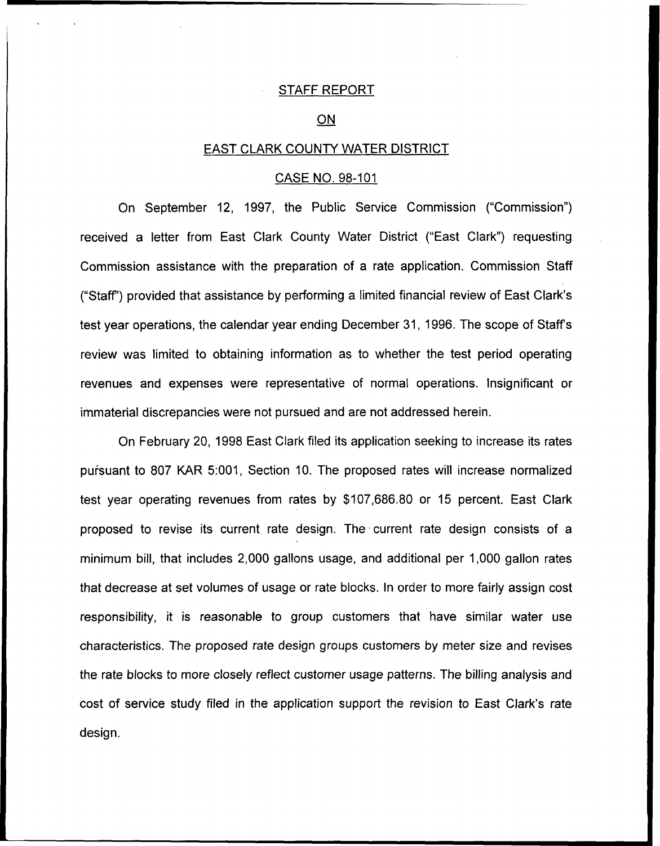### STAFF REPORT

#### $ON$

### EAST CLARK COUNTY WATER DISTRICT

#### CASE NO. 98-101

On September 12, 1997, the Public Service Commission ("Commission") received a letter from East Clark County Water District ("East Clark") requestin Commission assistance with the preparation of a rate application. Commission Staff ("Staff') provided that assistance by performing a limited financial review of East Clark's test year operations, the calendar year ending December 31, 1996. The scope of Staff's review was limited to obtaining information as to whether the test period operating revenues and expenses were representative of normal operations. Insignificant or immaterial discrepancies were not pursued and are not addressed herein.

On February 20, 1998 East Clark filed its application seeking to increase its rates puisuant to 807 KAR 5:001, Section 10. The proposed rates will increase normalized test year operating revenues from rates by \$107,686.80 or 15 percent. East Clark proposed to revise its current rate design. The current rate design consists of a minimum bill, that includes 2,000 gallons usage, and additional per 1,000 gallon rates that decrease at set volumes of usage or rate blocks. In order to more fairly assign cost responsibility, it is reasonable to group customers that have similar water use characteristics. The proposed rate design groups customers by meter size and revises the rate blocks to more closely reflect customer usage patterns. The billing analysis and cost of service study filed in the application support the revision to East Clark's rate design.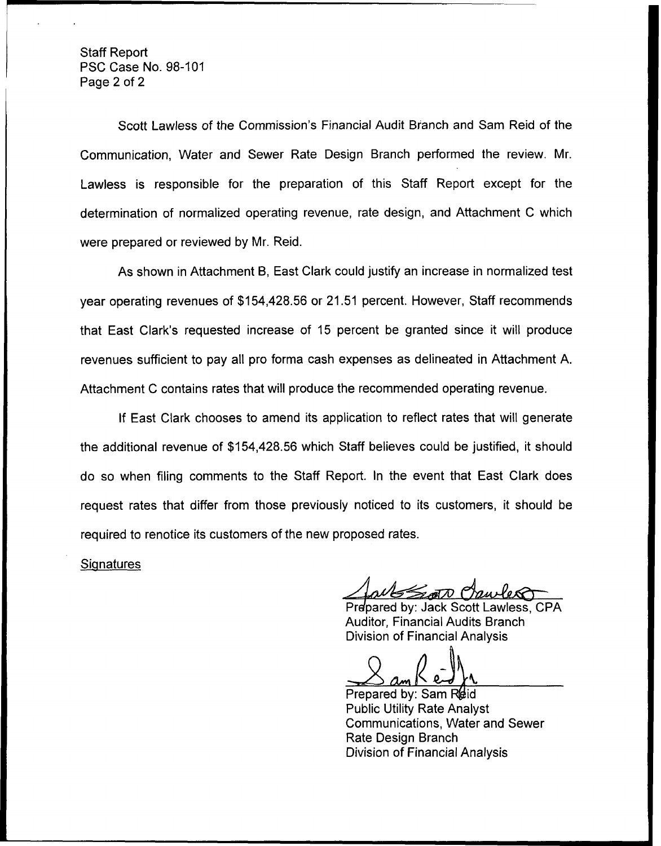Staff Report PSC Case No. 98-101 Page 2 of 2

Scott Lawless of the Commission's Financial Audit Branch and Sam Reid of the Communication, Water and Sewer Rate Design Branch performed the review. Mr. Lawless is responsible for the preparation of this Staff Report except for the determination of normalized operating revenue, rate design, and Attachment C which were prepared or reviewed by Mr. Reid.

As shown in Attachment B, East Clark could justify an increase in normalized test year operating revenues of \$154,428.56 or 21.51 percent. However, Staff recommends that East Clark's requested increase of 15 percent be granted since it will produce revenues sufficient to pay all pro forma cash expenses as delineated in Attachment A. Attachment C contains rates that will produce the recommended operating revenue.

If East Clark chooses to amend its application to reflect rates that will generate the additional revenue of \$154,428.56 which Staff believes could be justified, it should do so when filing comments to the Staff Report. In the event that East Clark does request rates that differ from those previously noticed to its customers, it should be required to renotice its customers of the new proposed rates. at East Clark de<br>
Somers, it should<br>
Charless, CP<br>
Cott Lawless, CP<br>
Cott Lawless, CP<br>
Analysis

**Signatures** 

 $\mathcal{Z}$ ot $\Lambda$ 

Prepared by: Jack Scott Lawless, CPA Auditor, Financial Audits Branch Division of Financial Analysis

Prepared by: Sam Reid Public Utility Rate Analyst Communications, Water and Sewer Rate Design Branch Division of Financial Analysis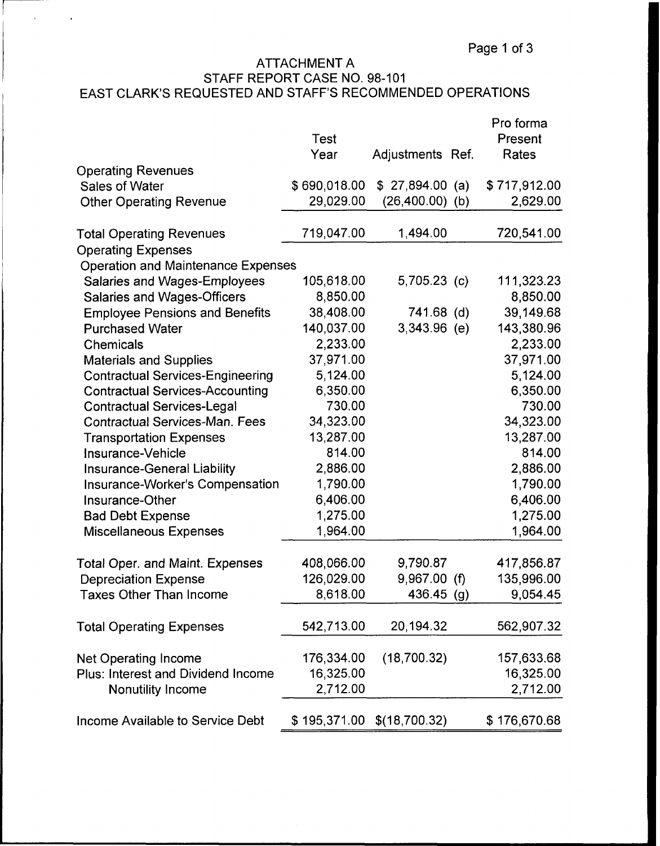# ATTACHMENT A STAFF REPORT CASE NO. 98-101 EAST CLARK'S REQUESTED AND STAFF'S RECOMMENDED OPERATIONS

 $\mathcal{L}^{\pm}$ 

 $\mathbf{r}$ 

|                                           | <b>Test</b><br>Year | Adjustments Ref. |     | Pro forma<br>Present<br>Rates |
|-------------------------------------------|---------------------|------------------|-----|-------------------------------|
| <b>Operating Revenues</b>                 |                     |                  |     |                               |
| Sales of Water                            | \$690,018.00        | \$27,894.00      | (a) | \$717,912.00                  |
| <b>Other Operating Revenue</b>            | 29,029.00           | (26,400.00)      | (b) | 2,629.00                      |
| <b>Total Operating Revenues</b>           | 719,047.00          | 1,494.00         |     | 720,541.00                    |
| <b>Operating Expenses</b>                 |                     |                  |     |                               |
| <b>Operation and Maintenance Expenses</b> |                     |                  |     |                               |
| <b>Salaries and Wages-Employees</b>       | 105,618.00          | $5,705.23$ (c)   |     | 111,323.23                    |
| <b>Salaries and Wages-Officers</b>        | 8,850.00            |                  |     | 8,850.00                      |
| <b>Employee Pensions and Benefits</b>     | 38,408.00           | 741.68 (d)       |     | 39,149.68                     |
| <b>Purchased Water</b>                    | 140,037.00          | $3,343.96$ (e)   |     | 143,380.96                    |
| Chemicals                                 | 2,233.00            |                  |     | 2,233.00                      |
| <b>Materials and Supplies</b>             | 37,971.00           |                  |     | 37,971.00                     |
| <b>Contractual Services-Engineering</b>   | 5,124.00            |                  |     | 5,124.00                      |
| <b>Contractual Services-Accounting</b>    | 6,350.00            |                  |     | 6,350.00                      |
| <b>Contractual Services-Legal</b>         | 730.00              |                  |     | 730.00                        |
| <b>Contractual Services-Man. Fees</b>     | 34,323.00           |                  |     | 34,323.00                     |
| <b>Transportation Expenses</b>            | 13,287.00           |                  |     | 13,287.00                     |
| Insurance-Vehicle                         | 814.00              |                  |     | 814.00                        |
| Insurance-General Liability               | 2,886.00            |                  |     | 2,886.00                      |
| Insurance-Worker's Compensation           | 1,790.00            |                  |     | 1,790.00                      |
| Insurance-Other                           | 6,406.00            |                  |     | 6,406.00                      |
| <b>Bad Debt Expense</b>                   | 1,275.00            |                  |     | 1,275.00                      |
| <b>Miscellaneous Expenses</b>             | 1,964.00            |                  |     | 1,964.00                      |
| <b>Total Oper. and Maint. Expenses</b>    | 408,066.00          | 9,790.87         |     | 417,856.87                    |
| <b>Depreciation Expense</b>               | 126,029.00          | 9,967.00 (f)     |     | 135,996.00                    |
| <b>Taxes Other Than Income</b>            | 8,618.00            | 436.45 (g)       |     | 9,054.45                      |
| <b>Total Operating Expenses</b>           | 542,713.00          | 20,194.32        |     | 562,907.32                    |
| <b>Net Operating Income</b>               | 176,334.00          | (18,700.32)      |     | 157,633.68                    |
| <b>Plus: Interest and Dividend Income</b> | 16,325.00           |                  |     | 16,325.00                     |
| <b>Nonutility Income</b>                  | 2,712.00            |                  |     | 2,712.00                      |
| Income Available to Service Debt          | \$195,371.00        | \$(18,700.32)    |     | \$176,670.68                  |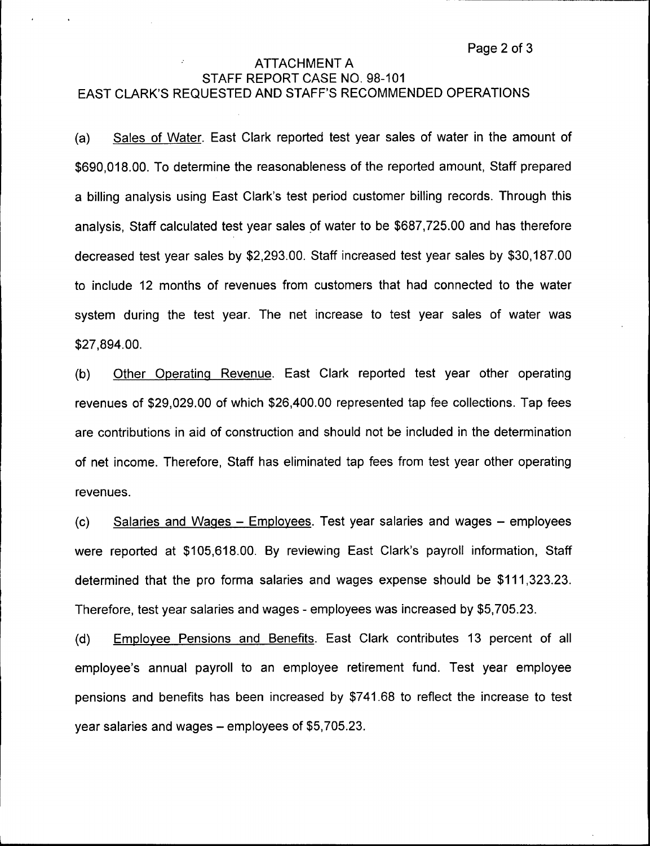# ATTACHMENT A STAFF REPORT CASE NO. 98-101 EAST CLARK'S REQUESTED AND STAFF'S RECOMMENDED OPERATIONS

(a) Sales of Water. East Clark reported test year sales of water in the amount of \$690,018.00.To determine the reasonableness of the reported amount, Staff prepared a billing analysis using East Clark's test period customer billing records. Through this analysis, Staff calculated test year sales of water to be \$687,725.00 and has therefore decreased test year sales by \$2,293.00. Staff increased test year sales by \$30,187.00 to include 12 months of revenues from customers that had connected to the water system during the test year. The net increase to test year sales of water was \$27,894.00.

(b) Other Operating Revenue. East Clark reported test year other operating revenues of \$29,029.00 of which \$26,400.00 represented tap fee collections. Tap fees are contributions in aid of construction and should not be included in the determination of net income. Therefore, Staff has eliminated tap fees from test year other operating revenues.

(c) Salaries and Waaes —Emolovees, Test year salaries and wages —employees were reported at \$105,618.00. By reviewing East Clark's payroll information, Staff determined that the pro forma salaries and wages expense should be \$111,323.23. Therefore, test year salaries and wages - employees was increased by \$5,705.23.

(d) Emolovee Pensions and Benefits. East Clark contributes 13 percent of all employee's annual payroll to an employee retirement fund. Test year employee pensions and benefits has been increased by \$741.68 to reflect the increase to test year salaries and wages —employees of \$5,705.23.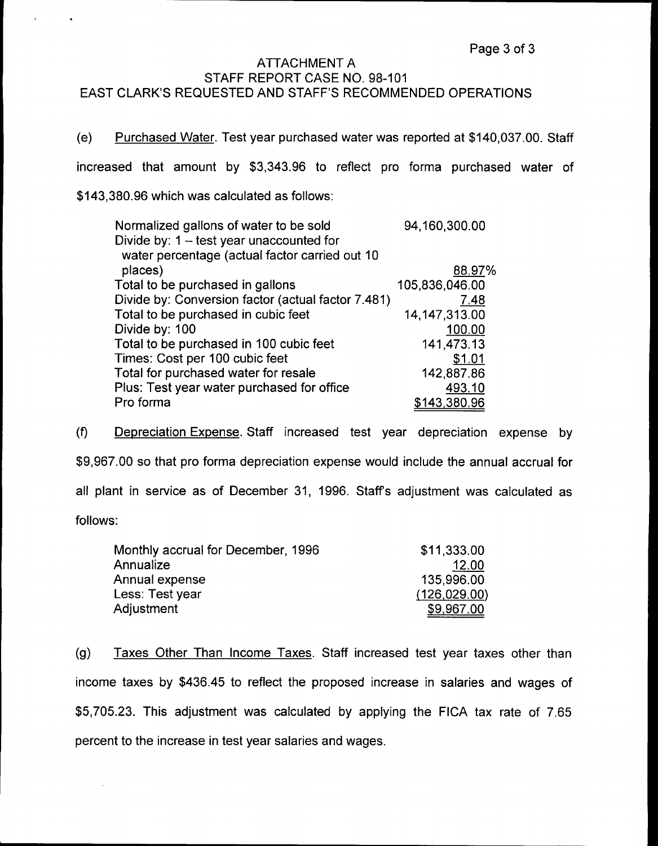# ATTACHMENT A STAFF REPORT CASE NO. 98-101 EAST CLARK'S REQUESTED AND STAFF'S RECOMMENDED OPERATIONS

(e) Purchased Water. Test year purchased water was reported at \$140,037.00. Staff increased that amount by \$3,343.96 to reflect pro forma purchased water of \$143,380.96which was calculated as follows:

| Normalized gallons of water to be sold             | 94,160,300.00   |
|----------------------------------------------------|-----------------|
| Divide by: $1 - \text{test}$ year unaccounted for  |                 |
| water percentage (actual factor carried out 10     |                 |
| places)                                            | 88.97%          |
| Total to be purchased in gallons                   | 105,836,046.00  |
| Divide by: Conversion factor (actual factor 7.481) | 7.48            |
| Total to be purchased in cubic feet                | 14, 147, 313.00 |
| Divide by: 100                                     | 100.00          |
| Total to be purchased in 100 cubic feet            | 141,473.13      |
| Times: Cost per 100 cubic feet                     | \$1.01          |
| Total for purchased water for resale               | 142,887.86      |
| Plus: Test year water purchased for office         | 493.10          |
| Pro forma                                          | \$143,380.96    |
|                                                    |                 |

(f) Depreciation Expense. Staff increased test year depreciation expense by \$9,967.00 so that pro forma depreciation expense would include the annual accrual for all plant in service as of December 31, 1996. Staffs adjustment was calculated as follows:

| Monthly accrual for December, 1996 | \$11,333.00  |
|------------------------------------|--------------|
| Annualize                          | 12.00        |
| Annual expense                     | 135,996.00   |
| Less: Test year                    | (126,029.00) |
| Adjustment                         | \$9,967.00   |
|                                    |              |

(g) Taxes Other Than Income Taxes. Staff increased test year taxes other than income taxes by \$436.45 to reflect the proposed increase in salaries and wages of \$5,705.23. This adjustment was calculated by applying the FICA tax rate of 7.65 percent to the increase in test year salaries and wages.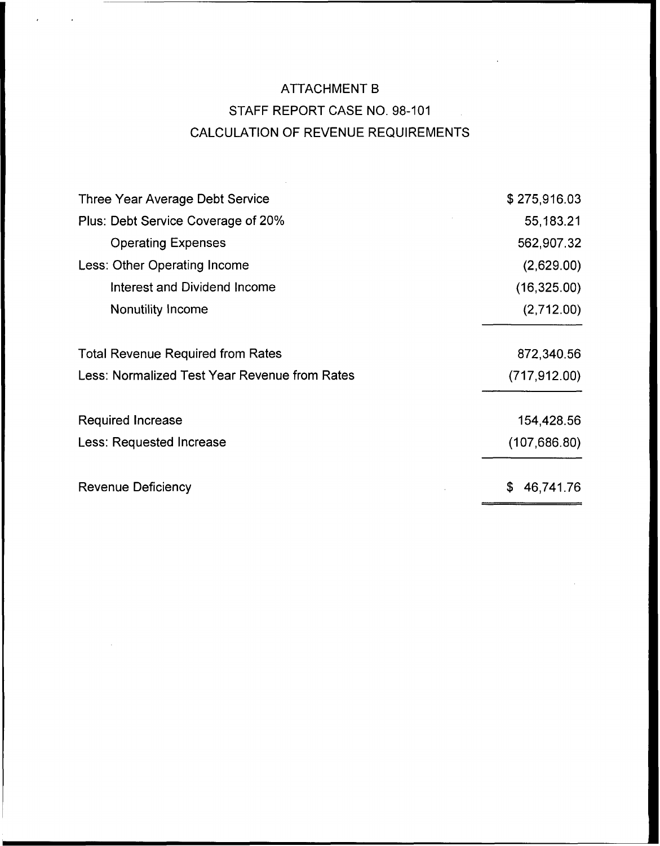# ATTACHMENT B STAFF REPORT CASE NO. 98-101  $\mathcal{L}_{\mathcal{L}}$ CALCULATION OF REVENUE REQUIREMENTS

 $\sim 10^6$ 

 $\ddot{\phantom{1}}$ 

| Three Year Average Debt Service               | \$275,916.03    |
|-----------------------------------------------|-----------------|
| Plus: Debt Service Coverage of 20%            | 55,183.21       |
| <b>Operating Expenses</b>                     | 562,907.32      |
| Less: Other Operating Income                  | (2,629.00)      |
| Interest and Dividend Income                  | (16,325.00)     |
| Nonutility Income                             | (2,712.00)      |
| <b>Total Revenue Required from Rates</b>      | 872,340.56      |
| Less: Normalized Test Year Revenue from Rates | (717, 912.00)   |
| Required Increase                             | 154,428.56      |
| <b>Less: Requested Increase</b>               | (107, 686.80)   |
| Revenue Deficiency                            | \$<br>46,741.76 |